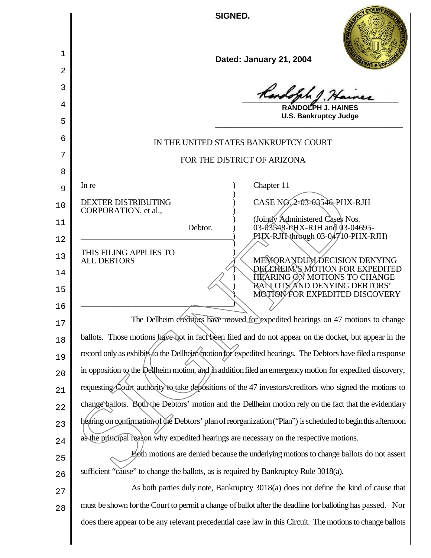**SIGNED.**

1

2

3

4

5

6

7

8

9

10

CORPORATION, et al.,

THIS FILING APPLIES TO<br>ALL DEBTORS

\_\_\_\_\_\_\_\_\_\_\_\_\_\_\_\_\_\_\_\_\_\_\_\_\_\_\_\_\_\_\_\_\_\_\_\_)

11

12

13

14

15

16



| Dated: January 21, 2004 |  |
|-------------------------|--|
|-------------------------|--|

**\_\_\_\_\_\_\_\_\_\_\_\_\_\_\_\_\_\_\_\_\_\_\_\_\_\_\_\_\_\_\_\_\_\_\_\_\_\_\_\_**

**RANDOLPH J. HAINES U.S. Bankruptcy Judge \_\_\_\_\_\_\_\_\_\_\_\_\_\_\_\_\_\_\_\_\_\_\_\_\_\_\_\_\_\_\_\_\_\_\_\_\_\_\_\_**

## IN THE UNITED STATES BANKRUPTCY COURT

## FOR THE DISTRICT OF ARIZONA

)

)

In re a contract of the contract of the contract of the contract of the contract of the contract of the contract of the contract of the contract of the contract of the contract of the contract of the contract of the contra

DEXTER DISTRIBUTING  $\overrightarrow{O}$  CASE NO. 2-03-03546-PHX-RJH

) (Jointly Administered Cases Nos. Debtor. ) 03-03548-PHX-RJH and 03-04695- $P$ HX-RJH through 03-04710-PHX-RJH)

> ALL DEBTORS ) MEMORANDUM DECISION DENYING ) DELLHEIM'S MOTION FOR EXPEDITED ) HEARING ON MOTIONS TO CHANGE ) BALLOTS AND DENYING DEBTORS' ) MOTION FOR EXPEDITED DISCOVERY

17 18 19  $20$ 21 22 23 24 The Dellheim creditors have moved for expedited hearings on 47 motions to change ballots. Those motions have not in fact been filed and do not appear on the docket, but appear in the record only as exhibits to the Dellheim motion for expedited hearings. The Debtors have filed a response in opposition to the Dellheim motion, and in addition filed an emergency motion for expedited discovery, requesting Court authority to take depositions of the 47 investors/creditors who signed the motions to change ballots. Both the Debtors' motion and the Dellheim motion rely on the fact that the evidentiary hearing on confirmation of the Debtors' plan of reorganization ("Plan") is scheduled to begin this afternoon as the principal reason why expedited hearings are necessary on the respective motions. The DENTRIBUTING<br>
DEXTER DISTRIBUTING<br>
CORPORATION, et al.,<br>
Debtor.<br>
Debtor.<br>
Debtor.<br>
Debtor.<br>
Debtor.<br>
OSASS-AR-NHX-RJH<br>
(1946/SS-AR-NHX-RJH<br>
(1946/SS-AR-NHX-RJH<br>
(1946/SS-AR-NHX-RJH<br>
(1946/SS-AR-NHX-RJH<br>
(1946/SS-AR-NH

25 26 Both motions are denied because the underlying motions to change ballots do not assert sufficient "cause" to change the ballots, as is required by Bankruptcy Rule 3018(a).

27 28 As both parties duly note, Bankruptcy 3018(a) does not define the kind of cause that must be shown for the Court to permit a change of ballot after the deadline for balloting has passed. Nor doesthere appear to be any relevant precedential case law in this Circuit. The motions to change ballots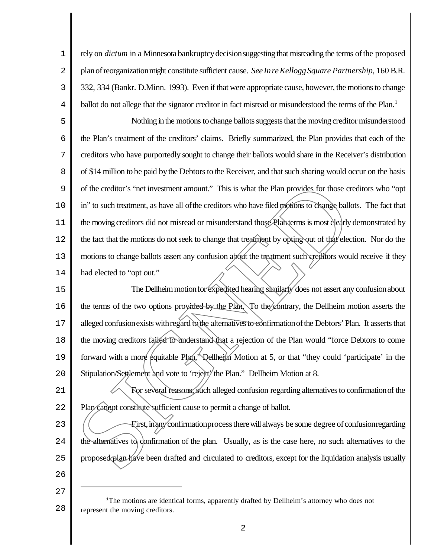1 2 3 4 rely on *dictum* in a Minnesota bankruptcy decision suggesting that misreading the terms of the proposed planofreorganizationmight constitute sufficient cause. *See InreKelloggSquare Partnership*, 160 B.R. 332, 334 (Bankr. D.Minn. 1993). Even if that were appropriate cause, however, the motions to change ballot do not allege that the signator creditor in fact misread or misunderstood the terms of the Plan.<sup>1</sup>

5 6 7 8 9 10 11 12 13 14 Nothing in the motions to change ballots suggests that the moving creditor misunderstood the Plan's treatment of the creditors' claims. Briefly summarized, the Plan provides that each of the creditors who have purportedly sought to change their ballots would share in the Receiver's distribution of \$14 million to be paid by the Debtors to the Receiver, and that such sharing would occur on the basis of the creditor's "net investment amount." This is what the Plan provides for those creditors who "opt in" to such treatment, as have all of the creditors who have filed motions to change ballots. The fact that the moving creditors did not misread or misunderstand those Planterms is most clearly demonstrated by the fact that the motions do notseek to change that treatment by opting out of that election. Nor do the motions to change ballots assert any confusion about the treatment such creditors would receive if they had elected to "opt out." of the creditor's "net investment amount." This is what the Plan provides for those creditors who "optim" to such treatment, as have all of the creditors who have filed profites to change ballots. The fact that the moving

15 16 17 18 19  $2.0$ The Dellheim motion for expedited hearing similarly does not assert any confusion about the terms of the two options provided by the Plan. To the contrary, the Dellheim motion asserts the alleged confusion exists with regard to the alternatives to confirmation of the Debtors' Plan. It asserts that the moving creditors failed to understand that a rejection of the Plan would "force Debtors to come forward with a more equitable Plan," Dellheim Motion at 5, or that "they could 'participate' in the Stipulation/Settlement and vote to 'reject' the Plan." Dellheim Motion at 8.

21 22 For several reasons, such alleged confusion regarding alternatives to confirmation of the Plan cannot constitute sufficient cause to permit a change of ballot.

23  $2.4$ 25 First,inanyconfirmationprocesstherewill always be some degree of confusionregarding the alternatives to confirmation of the plan. Usually, as is the case here, no such alternatives to the

26 27

<sup>28</sup> <sup>1</sup>The motions are identical forms, apparently drafted by Dellheim's attorney who does not represent the moving creditors.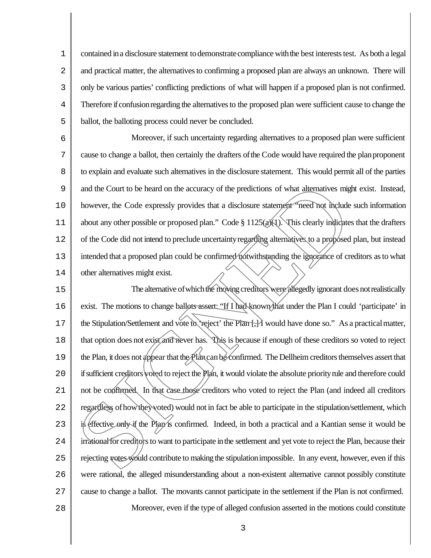1 2 3 4 5 contained in a disclosure statement to demonstrate compliance with the best interests test. As both a legal and practical matter, the alternatives to confirming a proposed plan are always an unknown. There will only be various parties' conflicting predictions of what will happen if a proposed plan is not confirmed. Therefore if confusion regarding the alternatives to the proposed plan were sufficient cause to change the ballot, the balloting process could never be concluded.

6 7 8 9 10 11 12 13 14 Moreover, if such uncertainty regarding alternatives to a proposed plan were sufficient cause to change a ballot, then certainly the drafters of the Code would have required the plan proponent to explain and evaluate such alternatives in the disclosure statement. This would permit all of the parties and the Court to be heard on the accuracy of the predictions of what alternatives might exist. Instead, however, the Code expressly provides that a disclosure statement "need not include such information about any other possible or proposed plan." Code § 1125(a)(1). This clearly indicates that the drafters of the Code did not intend to preclude uncertaintyregarding alternatives to a proposed plan, but instead intended that a proposed plan could be confirmed notwithstanding the ignorance of creditors as to what other alternatives might exist.

15 16 17 18 19  $2.0$ 21 22 23  $2.4$ 25 26 27 28 The alternative of which the moving creditors were allegedly ignorant does not realistically exist. The motions to change ballots assert: "If I had known that under the Plan I could 'participate' in the Stipulation/Settlement and vote to 'reject' the Plan  $\frac{1}{1}$  would have done so." As a practical matter, that option does not exist and never has. This is because if enough of these creditors so voted to reject the Plan, it does not appear that the Plancanbe confirmed. The Dellheim creditors themselves assert that ifsufficient creditors voted to reject the Plan, it would violate the absolute priorityrule and therefore could not be confirmed. In that case those creditors who voted to reject the Plan (and indeed all creditors regardless ofhowtheyvoted) would not in fact be able to participate in the stipulation/settlement, which is effective only if the Plan's confirmed. Indeed, in both a practical and a Kantian sense it would be irrational for creditors to want to participate in the settlement and yet vote to reject the Plan, because their rejecting votes would contribute to making the stipulation impossible. In any event, however, even if this were rational, the alleged misunderstanding about a non-existent alternative cannot possibly constitute cause to change a ballot. The movants cannot participate in the settlement if the Plan is not confirmed. Moreover, even if the type of alleged confusion asserted in the motions could constitute and the Court to be heard on the accuracy of the predictions of what alternatives might<br>browever, the Code expressly provides that a disclosure statement "need not include<br>about any other possible or proposed plan," Code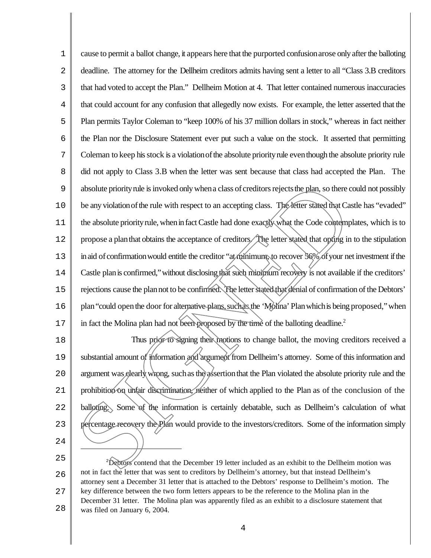1 2 3 4 5 6 7 8 9 10 11 12 13 14 15 16 17 cause to permit a ballot change, it appears here that the purported confusion arose only after the balloting deadline. The attorney for the Dellheim creditors admits having sent a letter to all "Class 3.B creditors that had voted to accept the Plan." Dellheim Motion at 4. That letter contained numerous inaccuracies that could account for any confusion that allegedly now exists. For example, the letter asserted that the Plan permits Taylor Coleman to "keep 100% of his 37 million dollars in stock," whereas in fact neither the Plan nor the Disclosure Statement ever put such a value on the stock. It asserted that permitting Coleman to keep his stock is a violation of the absolute priority rule even though the absolute priority rule did not apply to Class 3.B when the letter was sent because that class had accepted the Plan. The absolute priority rule is invoked only when a class of creditors rejects the plan, so there could not possibly be any violation of the rule with respect to an accepting class. The letter stated that Castle has "evaded" the absolute priority rule, when in fact Castle had done exactly what the Code contemplates, which is to propose a planthat obtains the acceptance of creditors. The letter stated that opting in to the stipulation in aid of confirmation would entitle the creditor "at minimum, to recover 56% of your net investment if the Castle plan is confirmed," without disclosing that such minimum recovery is not available if the creditors' rejections cause the plannot to be confirmed. The letter stated that denial of confirmation of the Debtors' plan "could open the door for alternative plans, such as the 'Molina' Plan which is being proposed," when in fact the Molina plan had not been proposed by the time of the balloting deadline.<sup>2</sup> absolute priority rule is invoked only when a class of creditors rejects the plan, so there could not possibly<br>be any violation of the nule with respect to an accepting class. The felter stated that Castle has "evalued"<br>th

18 19  $2.0$ 21 22 23  $2.4$ Thus prior to signing their motions to change ballot, the moving creditors received a substantial amount of information and argument from Dellheim's attorney. Some of this information and argument was clearly wrong, such as the assertion that the Plan violated the absolute priority rule and the prohibition on unfair discrimination, neither of which applied to the Plan as of the conclusion of the balloting. Some of the information is certainly debatable, such as Dellheim's calculation of what

25 26 27 28 <sup>2</sup>Debtors contend that the December 19 letter included as an exhibit to the Dellheim motion was not in fact the letter that was sent to creditors by Dellheim's attorney, but that instead Dellheim's attorney sent a December 31 letter that is attached to the Debtors' response to Dellheim's motion. The key difference between the two form letters appears to be the reference to the Molina plan in the December 31 letter. The Molina plan was apparently filed as an exhibit to a disclosure statement that was filed on January 6, 2004.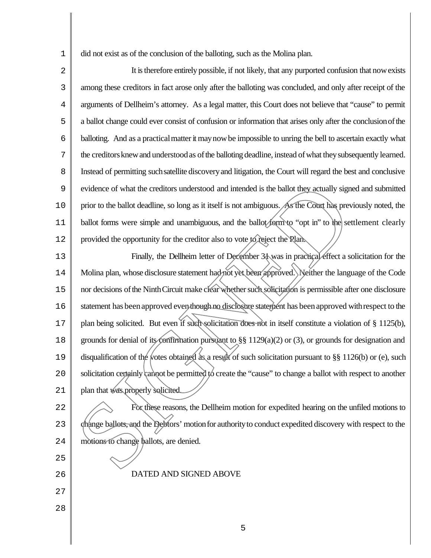1 did not exist as of the conclusion of the balloting, such as the Molina plan.

2 3 4 5 6 7 8 9 10 11 12 It is therefore entirely possible, if not likely, that any purported confusion that now exists among these creditors in fact arose only after the balloting was concluded, and only after receipt of the arguments of Dellheim's attorney. As a legal matter, this Court does not believe that "cause" to permit a ballot change could ever consist of confusion or information that arises only after the conclusionofthe balloting. And as a practicalmatterit maynowbe impossible to unring the bell to ascertain exactly what the creditors knew and understood as of the balloting deadline, instead of what they subsequently learned. Instead of permitting suchsatellite discoveryand litigation, the Court will regard the best and conclusive evidence of what the creditors understood and intended is the ballot they actually signed and submitted prior to the ballot deadline, so long as it itself is not ambiguous. As the Court has previously noted, the ballot forms were simple and unambiguous, and the ballot form to "opt in" to the settlement clearly provided the opportunity for the creditor also to vote to reject the Plan.

13 14 15 16 17 18 19  $2.0$ 21 Finally, the Dellheim letter of December 31 was in practical effect a solicitation for the Molina plan, whose disclosure statement had not yet been approved. Neither the language of the Code nor decisions of the Ninth Circuit make clear whether such solicitation is permissible after one disclosure statement has been approved even though no disclosure statement has been approved with respect to the plan being solicited. But even if such solicitation does not in itself constitute a violation of § 1125(b), grounds for denial of its confirmation pursuant to §§ 1129(a)(2) or (3), or grounds for designation and disqualification of the votes obtained as a result of such solicitation pursuant to §§ 1126(b) or (e), such solicitation certainly cannot be permitted to create the "cause" to change a ballot with respect to another plan that was properly solicited. evidence of what the creditors understood and intended is the ballot they actually signed and spirot of the ballot deadline, so long as it itself is not ambiguous. As the Cong has previously n<br>ballot forms were simple and

- 22 23  $2.4$ For these reasons, the Dellheim motion for expedited hearing on the unfiled motions to change ballots, and the Debtors' motionfor authorityto conduct expedited discovery with respect to the
	-

27

26

25

28